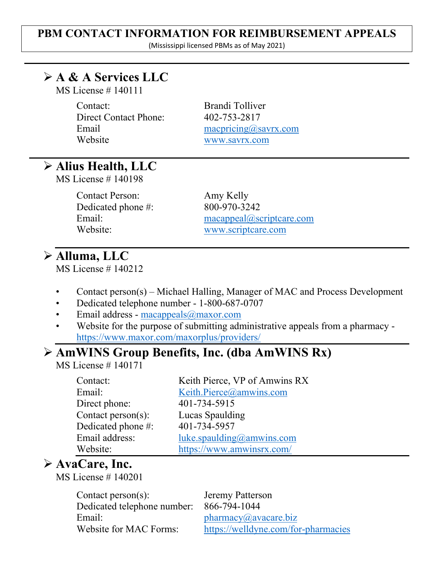### **PBM CONTACT INFORMATION FOR REIMBURSEMENT APPEALS**

(Mississippi licensed PBMs as of May 2021)

## **A & A Services LLC**

MS License # 140111

Contact: Brandi Tolliver Direct Contact Phone: 402-753-2817 Website [www.savrx.com](http://www.savrx.com/)

Email [macpricing@savrx.com](mailto:macpricing@savrx.com)

## **Alius Health, LLC**

MS License # 140198

Contact Person: Amy Kelly Dedicated phone #: 800-970-3242

Email: [macappeal@scriptcare.com](mailto:macappeal@scriptcare.com) Website: [www.scriptcare.com](http://www.scriptcare.com/)

## **Alluma, LLC**

MS License # 140212

- Contact person(s) Michael Halling, Manager of MAC and Process Development
- Dedicated telephone number 1-800-687-0707
- Email address [macappeals@maxor.com](mailto:macappeals@maxor.com)
- Website for the purpose of submitting administrative appeals from a pharmacy <https://www.maxor.com/maxorplus/providers/>

### **AmWINS Group Benefits, Inc. (dba AmWINS Rx)**

MS License # 140171

| Contact:              | Keith Pierce, VP of Amwins RX |
|-----------------------|-------------------------------|
| Email:                | Keith.Pierce@amwins.com       |
| Direct phone:         | 401-734-5915                  |
| Contact $person(s)$ : | Lucas Spaulding               |
| Dedicated phone #:    | 401-734-5957                  |
| Email address:        | luke.spaulding@amwins.com     |
| Website:              | https://www.amwinsrx.com/     |

## **AvaCare, Inc.**

MS License # 140201

Contact person(s): Jeremy Patterson Dedicated telephone number: 866-794-1044 Email: [pharmacy@avacare.biz](mailto:pharmacy@avacare.biz)

Website for MAC Forms: <https://welldyne.com/for-pharmacies>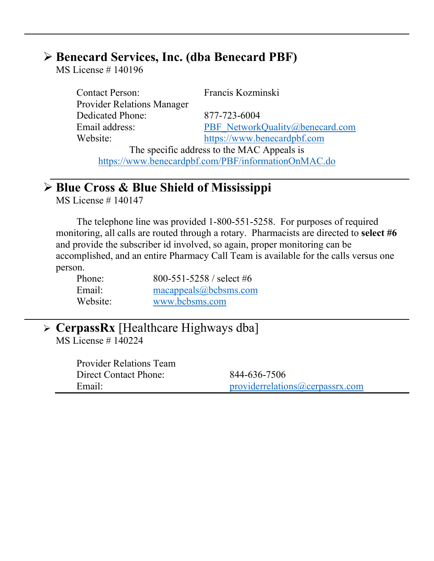### **Benecard Services, Inc. (dba Benecard PBF)**

MS License # 140196

Contact Person: Francis Kozminski Provider Relations Manager Dedicated Phone: 877-723-6004 Website: [https://www.benecardpbf.com](https://www.benecardpbf.com/)

Email address: [PBF\\_NetworkQuality@benecard.com](mailto:PBF_NetworkQuality@benecard.com)

The specific address to the MAC Appeals is <https://www.benecardpbf.com/PBF/informationOnMAC.do>

## **Blue Cross & Blue Shield of Mississippi**

MS License # 140147

The telephone line was provided 1-800-551-5258. For purposes of required monitoring, all calls are routed through a rotary. Pharmacists are directed to **select #6** and provide the subscriber id involved, so again, proper monitoring can be accomplished, and an entire Pharmacy Call Team is available for the calls versus one person.

| Phone:   | 800-551-5258 / select #6 |
|----------|--------------------------|
| Email:   | macappeals@bcbsms.com    |
| Website: | www.bcbsms.com           |

| $\triangleright$ CerpassRx [Healthcare Highways dba] |  |
|------------------------------------------------------|--|
| $MS$ License # 140224                                |  |

| <b>Provider Relations Team</b> |                                 |
|--------------------------------|---------------------------------|
| Direct Contact Phone:          | 844-636-7506                    |
| Email:                         | providerrelations@cerpassrx.com |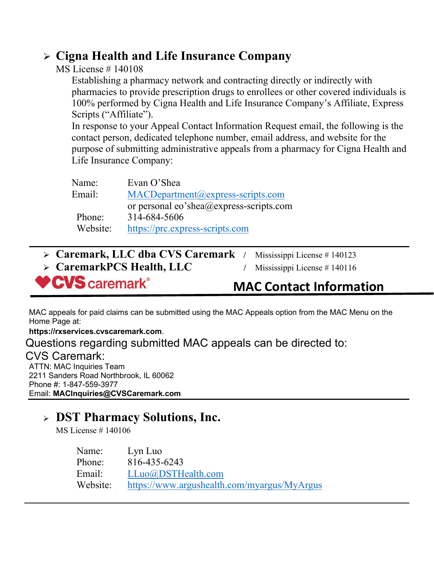## **Cigna Health and Life Insurance Company**

### MS License # 140108

Establishing a pharmacy network and contracting directly or indirectly with pharmacies to provide prescription drugs to enrollees or other covered individuals is 100% performed by Cigna Health and Life Insurance Company's Affiliate, Express Scripts ("Affiliate").

In response to your Appeal Contact Information Request email, the following is the contact person, dedicated telephone number, email address, and website for the purpose of submitting administrative appeals from a pharmacy for Cigna Health and Life Insurance Company:

| Evan O'Shea                             |
|-----------------------------------------|
| $MACDepartment@express-scripts.com$     |
| or personal eo'shea@express-scripts.com |
| 314-684-5606                            |
| https://prc.express-scripts.com         |
|                                         |

| <b>♥CVS</b> caremark®                             | <b>MAC Contact Information</b> |
|---------------------------------------------------|--------------------------------|
| $\triangleright$ CaremarkPCS Health, LLC          | Mississippi License # $140116$ |
| $\triangleright$ Caremark, LLC dba CVS Caremark / | Mississippi License $# 140123$ |

MAC appeals for paid claims can be submitted using the MAC Appeals option from the MAC Menu on the Home Page at:

**https://rxservices.cvscaremark.com**.

Questions regarding submitted MAC appeals can be directed to: CVS Caremark: ATTN: MAC Inquiries Team 2211 Sanders Road Northbrook, IL 60062 Phone #: 1-847-559-3977 Email: **[MACInquiries@CVSCaremark.com](mailto:MACInquiries@CVSCaremark.com)**

## **DST Pharmacy Solutions, Inc.**

MS License # 140106

| Name:    | Lyn Luo                                     |
|----------|---------------------------------------------|
| Phone:   | 816-435-6243                                |
| Email:   | LLuo@DSTHealth.com                          |
| Website: | https://www.argushealth.com/myargus/MyArgus |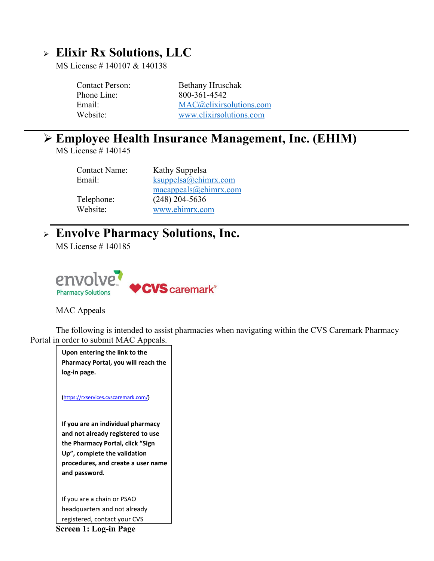## **Elixir Rx Solutions, LLC**

MS License # 140107 & 140138

| Contact Person: | Bethany Hruschak         |
|-----------------|--------------------------|
| Phone Line:     | 800-361-4542             |
| Email:          | MAC@clixir solutions.com |
| Website:        | www.elixirsolutions.com  |

### **Employee Health Insurance Management, Inc. (EHIM)**

MS License # 140145

| <b>Contact Name:</b> | Kathy Suppelsa        |
|----------------------|-----------------------|
| Email:               | ksuppelsa@ehimrx.com  |
|                      | macappeals@ehimrx.com |
| Telephone:           | $(248)$ 204-5636      |
| Website:             | www.ehimrx.com        |

## **Envolve Pharmacy Solutions, Inc.**

MS License # 140185



MAC Appeals

The following is intended to assist pharmacies when navigating within the CVS Caremark Pharmacy Portal in order to submit MAC Appeals.

**Upon entering the link to the Pharmacy Portal, you will reach the log-in page. (**<https://rxservices.cvscaremark.com/>**) If you are an individual pharmacy and not already registered to use the Pharmacy Portal, click "Sign Up", complete the validation procedures, and create a user name and password***.* If you are a chain or PSAO headquarters and not already registered, contact your CVS

**Screen 1: Log-in Page**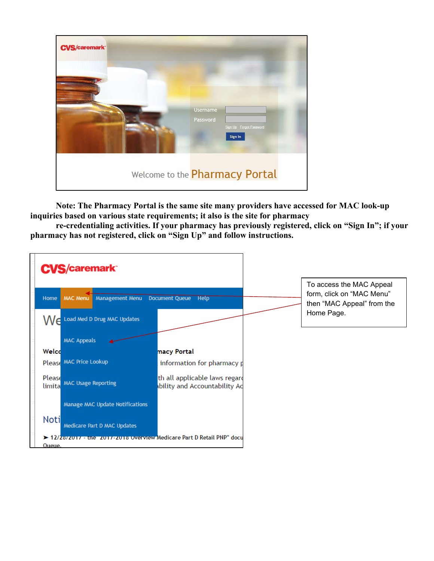

**Note: The Pharmacy Portal is the same site many providers have accessed for MAC look-up inquiries based on various state requirements; it also is the site for pharmacy**

**re-credentialing activities. If your pharmacy has previously registered, click on "Sign In"; if your pharmacy has not registered, click on "Sign Up" and follow instructions.**

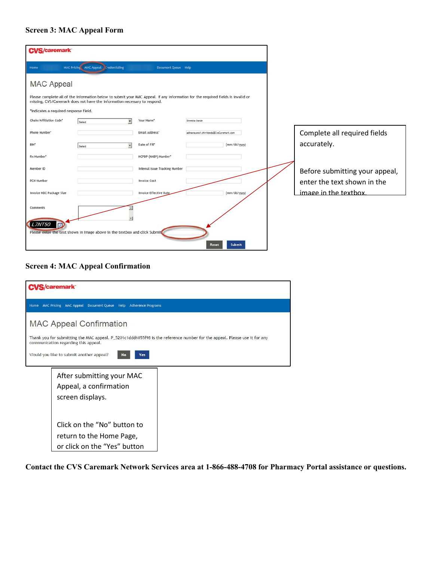### **Screen 3: MAC Appeal Form**

| <b>CVS/caremark</b>                   |                                                                            |                                |                                                                                                                                  |                                |
|---------------------------------------|----------------------------------------------------------------------------|--------------------------------|----------------------------------------------------------------------------------------------------------------------------------|--------------------------------|
| Home                                  | MAC Pricing MAC Appeal Credentialing                                       | Document Queue Help            |                                                                                                                                  |                                |
| <b>MAC Appeal</b>                     |                                                                            |                                |                                                                                                                                  |                                |
|                                       | missing, CVS/Caremark does not have the information necessary to respond.  |                                | Please complete all of the information below to submit your MAC Appeal. If any information for the required fields is invalid or |                                |
| *Indicates a required response field. |                                                                            |                                |                                                                                                                                  |                                |
| Chain/Affiliation Code*               | Select                                                                     | Your Name*                     | Shwetha Dande                                                                                                                    |                                |
| Phone Number*                         |                                                                            | Email Address*                 | adinarayana1, chirikonda@CvsCaremark.com                                                                                         | Complete all required fields   |
| BIN"                                  | ×<br>Select                                                                | Date of Fill*                  | (mm/dd/yyyy)                                                                                                                     | accurately.                    |
| Rx Number*                            |                                                                            | NCPDP (NABP) Number*           |                                                                                                                                  |                                |
| Member ID                             |                                                                            | Internal Issue Tracking Number |                                                                                                                                  | Before submitting your appeal, |
| <b>PCN Number</b>                     |                                                                            | <b>Invoice Cost</b>            |                                                                                                                                  | enter the text shown in the    |
| Invoice NDC Package Size              |                                                                            | <b>Invoice Effective Date</b>  | (mm/dd/yyyy)                                                                                                                     | image in the textbox.          |
| Comments                              |                                                                            |                                |                                                                                                                                  |                                |
| <b>L7NT50</b><br>同                    |                                                                            |                                |                                                                                                                                  |                                |
|                                       | Please enter the text shown in image above in the textbox and click Submit |                                | Submit<br>Reset                                                                                                                  |                                |

### **Screen 4: MAC Appeal Confirmation**

| /S/caremark                                                                                                                                                       |  |  |  |
|-------------------------------------------------------------------------------------------------------------------------------------------------------------------|--|--|--|
| MAC Pricing MAC Appeal Document Queue Help Adherence Programs<br>Home                                                                                             |  |  |  |
| <b>MAC Appeal Confirmation</b>                                                                                                                                    |  |  |  |
| Thank you for submitting the MAC appeal. P 5201c1ddd6055f98 is the reference number for the appeal. Please use it for any<br>communication regarding this appeal. |  |  |  |
| Would you like to submit another appeal?<br>No<br>Yes                                                                                                             |  |  |  |
| After submitting your MAC                                                                                                                                         |  |  |  |
| Appeal, a confirmation                                                                                                                                            |  |  |  |
| screen displays.                                                                                                                                                  |  |  |  |
|                                                                                                                                                                   |  |  |  |
| Click on the "No" button to                                                                                                                                       |  |  |  |
| return to the Home Page,                                                                                                                                          |  |  |  |
| or click on the "Yes" button                                                                                                                                      |  |  |  |

**Contact the CVS Caremark Network Services area at 1-866-488-4708 for Pharmacy Portal assistance or questions.**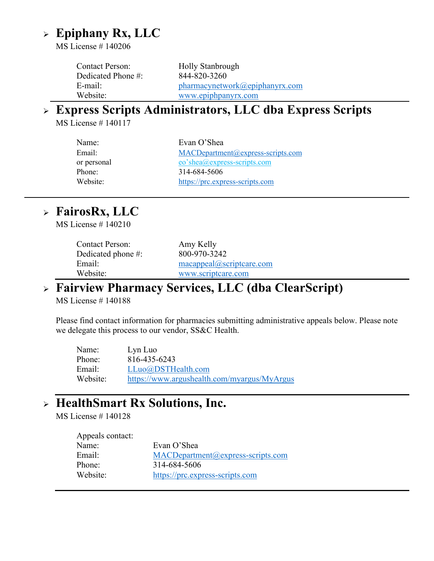## **Epiphany Rx, LLC**

MS License # 140206

Contact Person: Holly Stanbrough Dedicated Phone #: 844-820-3260 E-mail: [pharmacynetwork@epiphanyrx.com](mailto:pharmacynetwork@epiphanyrx.com) Website: [www.epiphpanyrx.com](http://www.epiphpanyrx.com/)

## **Express Scripts Administrators, LLC dba Express Scripts**

MS License # 140117

| Name:       | Evan O'Shea                                |
|-------------|--------------------------------------------|
| Email:      | $MACDepartment@express\text{-}scripts.com$ |
| or personal | eo'shea@express-scripts.com                |
| Phone:      | 314-684-5606                               |
| Website:    | https://prc.express-scripts.com            |
|             |                                            |

### **FairosRx, LLC**

MS License # 140210

| Contact Person:        | Amy Kelly                |
|------------------------|--------------------------|
| Dedicated phone $\#$ : | 800-970-3242             |
| Email:                 | macapped@script care.com |
| Website:               | www.scriptcare.com       |

### **Fairview Pharmacy Services, LLC (dba ClearScript)**

MS License # 140188

Please find contact information for pharmacies submitting administrative appeals below. Please note we delegate this process to our vendor, SS&C Health.

| Name:    | Lyn Luo                                     |
|----------|---------------------------------------------|
| Phone:   | 816-435-6243                                |
| Email:   | LLuo@DSTHealth.com                          |
| Website: | https://www.argushealth.com/myargus/MyArgus |

### **HealthSmart Rx Solutions, Inc.**

MS License # 140128

| Appeals contact: |                                            |
|------------------|--------------------------------------------|
| Name:            | Evan O'Shea                                |
| Email:           | $MACDepartment@express\text{-}scripts.com$ |
| Phone:           | 314-684-5606                               |
| Website:         | https://prc.express-scripts.com            |
|                  |                                            |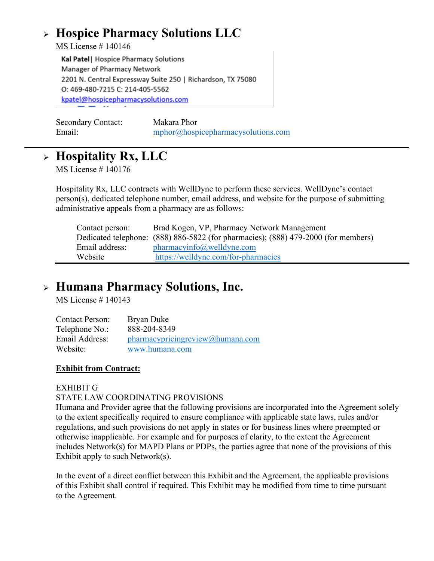## **Hospice Pharmacy Solutions LLC**

MS License # 140146

Kal Patel | Hospice Pharmacy Solutions Manager of Pharmacy Network 2201 N. Central Expressway Suite 250 | Richardson, TX 75080 O: 469-480-7215 C: 214-405-5562 kpatel@hospicepharmacysolutions.com

| <b>Secondary Contact:</b> | Makara Phor                         |
|---------------------------|-------------------------------------|
| Email:                    | mphor@hospicepharmacy solutions.com |

## **Hospitality Rx, LLC**

MS License # 140176

Hospitality Rx, LLC contracts with WellDyne to perform these services. WellDyne's contact person(s), dedicated telephone number, email address, and website for the purpose of submitting administrative appeals from a pharmacy are as follows:

| Contact person: | Brad Kogen, VP, Pharmacy Network Management                                        |
|-----------------|------------------------------------------------------------------------------------|
|                 | Dedicated telephone: (888) 886-5822 (for pharmacies); (888) 479-2000 (for members) |
| Email address:  | pharmacyinfo@welldyne.com                                                          |
| Website         | https://welldyne.com/for-pharmacies                                                |

## **Humana Pharmacy Solutions, Inc.**

MS License # 140143

| <b>Contact Person:</b> | Bryan Duke                        |
|------------------------|-----------------------------------|
| Telephone No.:         | 888-204-8349                      |
| Email Address:         | pharmacy pricing review@human.com |
| Website:               | www.humana.com                    |

### **Exhibit from Contract:**

### EXHIBIT G

### STATE LAW COORDINATING PROVISIONS

Humana and Provider agree that the following provisions are incorporated into the Agreement solely to the extent specifically required to ensure compliance with applicable state laws, rules and/or regulations, and such provisions do not apply in states or for business lines where preempted or otherwise inapplicable. For example and for purposes of clarity, to the extent the Agreement includes Network(s) for MAPD Plans or PDPs, the parties agree that none of the provisions of this Exhibit apply to such Network(s).

In the event of a direct conflict between this Exhibit and the Agreement, the applicable provisions of this Exhibit shall control if required. This Exhibit may be modified from time to time pursuant to the Agreement.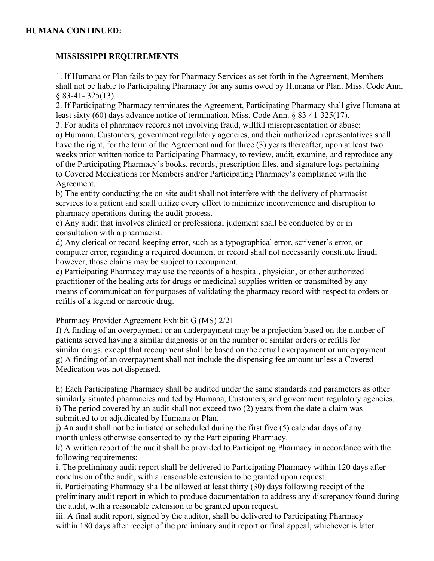### **HUMANA CONTINUED:**

### **MISSISSIPPI REQUIREMENTS**

1. If Humana or Plan fails to pay for Pharmacy Services as set forth in the Agreement, Members shall not be liable to Participating Pharmacy for any sums owed by Humana or Plan. Miss. Code Ann. § 83-41- 325(13).

2. If Participating Pharmacy terminates the Agreement, Participating Pharmacy shall give Humana at least sixty (60) days advance notice of termination. Miss. Code Ann. § 83-41-325(17).

3. For audits of pharmacy records not involving fraud, willful misrepresentation or abuse: a) Humana, Customers, government regulatory agencies, and their authorized representatives shall have the right, for the term of the Agreement and for three (3) years thereafter, upon at least two weeks prior written notice to Participating Pharmacy, to review, audit, examine, and reproduce any of the Participating Pharmacy's books, records, prescription files, and signature logs pertaining to Covered Medications for Members and/or Participating Pharmacy's compliance with the Agreement.

b) The entity conducting the on-site audit shall not interfere with the delivery of pharmacist services to a patient and shall utilize every effort to minimize inconvenience and disruption to pharmacy operations during the audit process.

c) Any audit that involves clinical or professional judgment shall be conducted by or in consultation with a pharmacist.

d) Any clerical or record-keeping error, such as a typographical error, scrivener's error, or computer error, regarding a required document or record shall not necessarily constitute fraud; however, those claims may be subject to recoupment.

e) Participating Pharmacy may use the records of a hospital, physician, or other authorized practitioner of the healing arts for drugs or medicinal supplies written or transmitted by any means of communication for purposes of validating the pharmacy record with respect to orders or refills of a legend or narcotic drug.

Pharmacy Provider Agreement Exhibit G (MS) 2/21

f) A finding of an overpayment or an underpayment may be a projection based on the number of patients served having a similar diagnosis or on the number of similar orders or refills for similar drugs, except that recoupment shall be based on the actual overpayment or underpayment. g) A finding of an overpayment shall not include the dispensing fee amount unless a Covered Medication was not dispensed.

h) Each Participating Pharmacy shall be audited under the same standards and parameters as other similarly situated pharmacies audited by Humana, Customers, and government regulatory agencies. i) The period covered by an audit shall not exceed two (2) years from the date a claim was submitted to or adjudicated by Humana or Plan.

j) An audit shall not be initiated or scheduled during the first five (5) calendar days of any month unless otherwise consented to by the Participating Pharmacy.

k) A written report of the audit shall be provided to Participating Pharmacy in accordance with the following requirements:

i. The preliminary audit report shall be delivered to Participating Pharmacy within 120 days after conclusion of the audit, with a reasonable extension to be granted upon request.

ii. Participating Pharmacy shall be allowed at least thirty (30) days following receipt of the preliminary audit report in which to produce documentation to address any discrepancy found during the audit, with a reasonable extension to be granted upon request.

iii. A final audit report, signed by the auditor, shall be delivered to Participating Pharmacy within 180 days after receipt of the preliminary audit report or final appeal, whichever is later.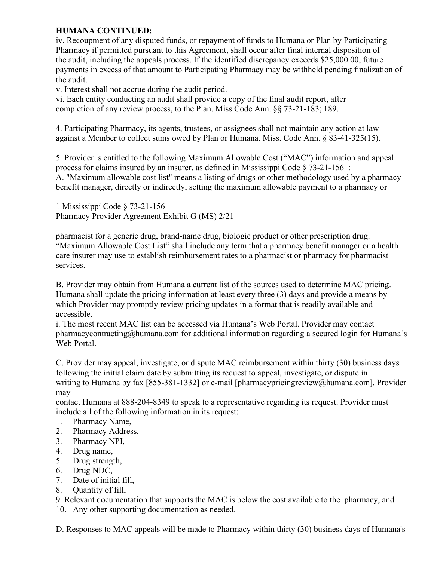### **HUMANA CONTINUED:**

iv. Recoupment of any disputed funds, or repayment of funds to Humana or Plan by Participating Pharmacy if permitted pursuant to this Agreement, shall occur after final internal disposition of the audit, including the appeals process. If the identified discrepancy exceeds \$25,000.00, future payments in excess of that amount to Participating Pharmacy may be withheld pending finalization of the audit.

v. Interest shall not accrue during the audit period.

vi. Each entity conducting an audit shall provide a copy of the final audit report, after completion of any review process, to the Plan. Miss Code Ann. §§ 73-21-183; 189.

4. Participating Pharmacy, its agents, trustees, or assignees shall not maintain any action at law against a Member to collect sums owed by Plan or Humana. Miss. Code Ann. § 83-41-325(15).

5. Provider is entitled to the following Maximum Allowable Cost ("MAC") information and appeal process for claims insured by an insurer, as defined in Mississippi Code § 73-21-1561: A. "Maximum allowable cost list" means a listing of drugs or other methodology used by a pharmacy benefit manager, directly or indirectly, setting the maximum allowable payment to a pharmacy or

1 Mississippi Code § 73-21-156 Pharmacy Provider Agreement Exhibit G (MS) 2/21

pharmacist for a generic drug, brand-name drug, biologic product or other prescription drug. "Maximum Allowable Cost List" shall include any term that a pharmacy benefit manager or a health care insurer may use to establish reimbursement rates to a pharmacist or pharmacy for pharmacist services.

B. Provider may obtain from Humana a current list of the sources used to determine MAC pricing. Humana shall update the pricing information at least every three (3) days and provide a means by which Provider may promptly review pricing updates in a format that is readily available and accessible.

i. The most recent MAC list can be accessed via Humana's Web Portal. Provider may contact pharmacycontracting@humana.com for additional information regarding a secured login for Humana's Web Portal.

C. Provider may appeal, investigate, or dispute MAC reimbursement within thirty (30) business days following the initial claim date by submitting its request to appeal, investigate, or dispute in writing to Humana by fax [855-381-1332] or e-mail [pharmacypricingreview@humana.com]. Provider may

contact Humana at 888-204-8349 to speak to a representative regarding its request. Provider must include all of the following information in its request:

- 1. Pharmacy Name,
- 2. Pharmacy Address,
- 3. Pharmacy NPI,
- 4. Drug name,
- 5. Drug strength,
- 6. Drug NDC,
- 7. Date of initial fill,
- 8. Quantity of fill,

9. Relevant documentation that supports the MAC is below the cost available to the pharmacy, and 10. Any other supporting documentation as needed.

D. Responses to MAC appeals will be made to Pharmacy within thirty (30) business days of Humana's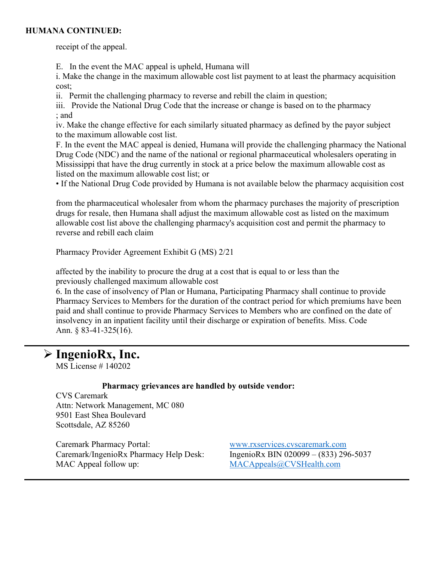### **HUMANA CONTINUED:**

receipt of the appeal.

E. In the event the MAC appeal is upheld, Humana will

i. Make the change in the maximum allowable cost list payment to at least the pharmacy acquisition cost;

ii. Permit the challenging pharmacy to reverse and rebill the claim in question;

iii. Provide the National Drug Code that the increase or change is based on to the pharmacy ; and

iv. Make the change effective for each similarly situated pharmacy as defined by the payor subject to the maximum allowable cost list.

F. In the event the MAC appeal is denied, Humana will provide the challenging pharmacy the National Drug Code (NDC) and the name of the national or regional pharmaceutical wholesalers operating in Mississippi that have the drug currently in stock at a price below the maximum allowable cost as listed on the maximum allowable cost list; or

• If the National Drug Code provided by Humana is not available below the pharmacy acquisition cost

from the pharmaceutical wholesaler from whom the pharmacy purchases the majority of prescription drugs for resale, then Humana shall adjust the maximum allowable cost as listed on the maximum allowable cost list above the challenging pharmacy's acquisition cost and permit the pharmacy to reverse and rebill each claim

Pharmacy Provider Agreement Exhibit G (MS) 2/21

affected by the inability to procure the drug at a cost that is equal to or less than the previously challenged maximum allowable cost

6. In the case of insolvency of Plan or Humana, Participating Pharmacy shall continue to provide Pharmacy Services to Members for the duration of the contract period for which premiums have been paid and shall continue to provide Pharmacy Services to Members who are confined on the date of insolvency in an inpatient facility until their discharge or expiration of benefits. Miss. Code Ann. § 83-41-325(16).

### **IngenioRx, Inc.**

MS License # 140202

### **Pharmacy grievances are handled by outside vendor:**

CVS Caremark Attn: Network Management, MC 080 9501 East Shea Boulevard Scottsdale, AZ 85260

Caremark Pharmacy Portal: [www.rxservices.cvscaremark.com](http://www.rxservices.cvscaremark.com/) Caremark/IngenioRx Pharmacy Help Desk: IngenioRx BIN 020099 – (833) 296-5037 MAC Appeal follow up: [MACAppeals@CVSHealth.com](mailto:MACAppeals@CVSHealth.com)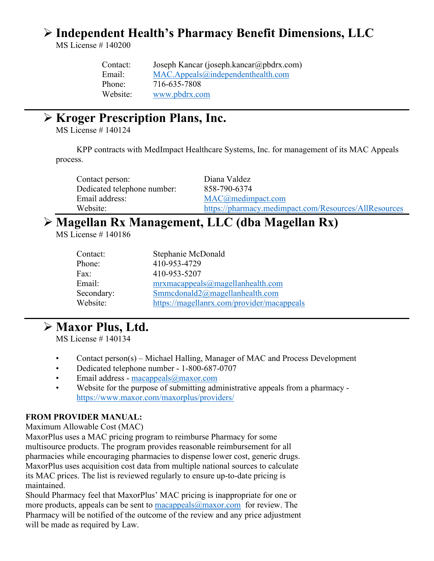## **Independent Health's Pharmacy Benefit Dimensions, LLC**

MS License # 140200

| Contact: | Joseph Kancar (joseph.kancar@pbdrx.com) |
|----------|-----------------------------------------|
| Email:   | $MAC$ . Appeals@independenthealth.com   |
| Phone:   | 716-635-7808                            |
| Website: | www.pbdrx.com                           |

### **Kroger Prescription Plans, Inc.**

MS License # 140124

KPP contracts with MedImpact Healthcare Systems, Inc. for management of its MAC Appeals process.

| Contact person:             | Diana Valdez                                          |
|-----------------------------|-------------------------------------------------------|
| Dedicated telephone number: | 858-790-6374                                          |
| Email address:              | MAC@medimpact.com                                     |
| Website:                    | https://pharmacy.medimpact.com/Resources/AllResources |

## **Magellan Rx Management, LLC (dba Magellan Rx)**

MS License # 140186

| Stephanie McDonald                         |
|--------------------------------------------|
| 410-953-4729                               |
| 410-953-5207                               |
| mrxmacappeals@magellanhealth.com           |
| Smmcdonald $2@$ magellanhealth.com         |
| https://magellanrx.com/provider/macappeals |
|                                            |

### **Maxor Plus, Ltd.**

MS License # 140134

- Contact person(s) Michael Halling, Manager of MAC and Process Development
- Dedicated telephone number 1-800-687-0707
- Email address [macappeals@maxor.com](mailto:macappeals@maxor.com)
- Website for the purpose of submitting administrative appeals from a pharmacy <https://www.maxor.com/maxorplus/providers/>

### **FROM PROVIDER MANUAL:**

Maximum Allowable Cost (MAC)

MaxorPlus uses a MAC pricing program to reimburse Pharmacy for some multisource products. The program provides reasonable reimbursement for all pharmacies while encouraging pharmacies to dispense lower cost, generic drugs. MaxorPlus uses acquisition cost data from multiple national sources to calculate its MAC prices. The list is reviewed regularly to ensure up-to-date pricing is maintained.

Should Pharmacy feel that MaxorPlus' MAC pricing is inappropriate for one or more products, appeals can be sent to  $\frac{maxop}{\alpha \rightarrow maxor}$  for review. The Pharmacy will be notified of the outcome of the review and any price adjustment will be made as required by Law.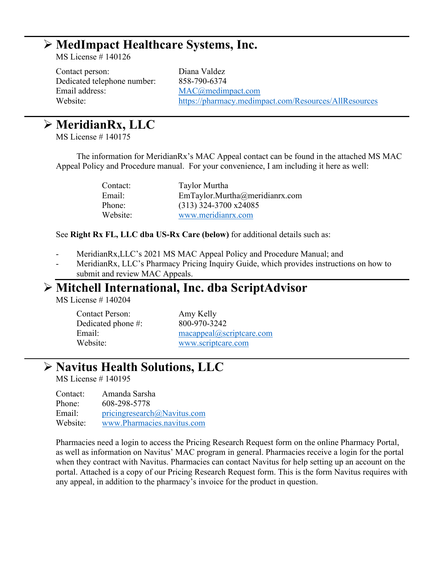### **MedImpact Healthcare Systems, Inc.**

MS License # 140126

Contact person: Diana Valdez Dedicated telephone number: 858-790-6374 Email address: [MAC@medimpact.com](mailto:MAC@medimpact.com)

Website: <https://pharmacy.medimpact.com/Resources/AllResources>

## **MeridianRx, LLC**

MS License # 140175

The information for MeridianRx's MAC Appeal contact can be found in the attached MS MAC Appeal Policy and Procedure manual. For your convenience, I am including it here as well:

| Contact: | Taylor Murtha                  |
|----------|--------------------------------|
| Email:   | EmTaylor.Murtha@meridianrx.com |
| Phone:   | $(313)$ 324-3700 x24085        |
| Website: | www.meridianrx.com             |

See **Right Rx FL, LLC dba US-Rx Care (below)** for additional details such as:

- MeridianRx, LLC's 2021 MS MAC Appeal Policy and Procedure Manual; and
- MeridianRx, LLC's Pharmacy Pricing Inquiry Guide, which provides instructions on how to submit and review MAC Appeals.

### **Mitchell International, Inc. dba ScriptAdvisor**

MS License # 140204

| Contact Person:    |  |
|--------------------|--|
| Dedicated phone #: |  |
| Email:             |  |
| Website:           |  |

Amy Kelly Dedicated phone #: 800-970-3242 [macappeal@scriptcare.com](mailto:macappeal@scriptcare.com) [www.scriptcare.com](http://www.scriptcare.com/)

## **Navitus Health Solutions, LLC**

MS License # 140195

| Contact: | Amanda Sarsha               |
|----------|-----------------------------|
| Phone:   | 608-298-5778                |
| Email:   | pricingresearch@Navitus.com |
| Website: | www.Pharmacies.navitus.com  |

Pharmacies need a login to access the Pricing Research Request form on the online Pharmacy Portal, as well as information on Navitus' MAC program in general. Pharmacies receive a login for the portal when they contract with Navitus. Pharmacies can contact Navitus for help setting up an account on the portal. Attached is a copy of our Pricing Research Request form. This is the form Navitus requires with any appeal, in addition to the pharmacy's invoice for the product in question.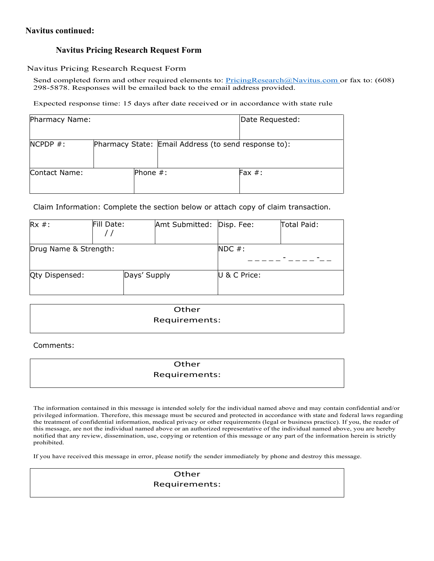### **Navitus continued:**

### **Navitus Pricing Research Request Form**

#### Navitus Pricing Research Request Form

Send completed form and other required elements to: [PricingResearch@Navitus.com o](mailto:PricingResearch@Navitus.com)r fax to: (608) 298-5878. Responses will be emailed back to the email address provided.

Expected response time: 15 days after date received or in accordance with state rule

| Pharmacy Name: |             |                                                      | Date Requested: |
|----------------|-------------|------------------------------------------------------|-----------------|
| $NCPDP$ #:     |             | Pharmacy State: Email Address (to send response to): |                 |
| Contact Name:  | Phone $#$ : |                                                      | Fax $#$ :       |

Claim Information: Complete the section below or attach copy of claim transaction.

| $Rx$ #:               | Fill Date:   | Amt Submitted: Disp. Fee: |              | Total Paid: |
|-----------------------|--------------|---------------------------|--------------|-------------|
| Drug Name & Strength: |              |                           | $NDC$ #:     |             |
| Qty Dispensed:        | Days' Supply |                           | U & C Price: |             |

| Other         |  |
|---------------|--|
| Requirements: |  |

Comments:

### **Other** Requirements:

The information contained in this message is intended solely for the individual named above and may contain confidential and/or privileged information. Therefore, this message must be secured and protected in accordance with state and federal laws regarding the treatment of confidential information, medical privacy or other requirements (legal or business practice). If you, the reader of this message, are not the individual named above or an authorized representative of the individual named above, you are hereby notified that any review, dissemination, use, copying or retention of this message or any part of the information herein is strictly prohibited.

If you have received this message in error, please notify the sender immediately by phone and destroy this message.

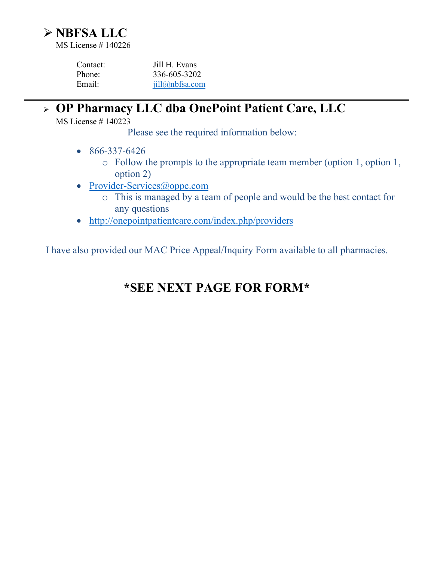

| Contact: | Jill H. Evans  |
|----------|----------------|
| Phone:   | 336-605-3202   |
| Email:   | jill@nbfsa.com |

### **OP Pharmacy LLC dba OnePoint Patient Care, LLC**

MS License # 140223

Please see the required information below:

- 866-337-6426
	- o Follow the prompts to the appropriate team member (option 1, option 1, option 2)
- [Provider-Services@oppc.com](mailto:Provider-Services@oppc.com)
	- o This is managed by a team of people and would be the best contact for any questions
- <http://onepointpatientcare.com/index.php/providers>

I have also provided our MAC Price Appeal/Inquiry Form available to all pharmacies.

## **\*SEE NEXT PAGE FOR FORM\***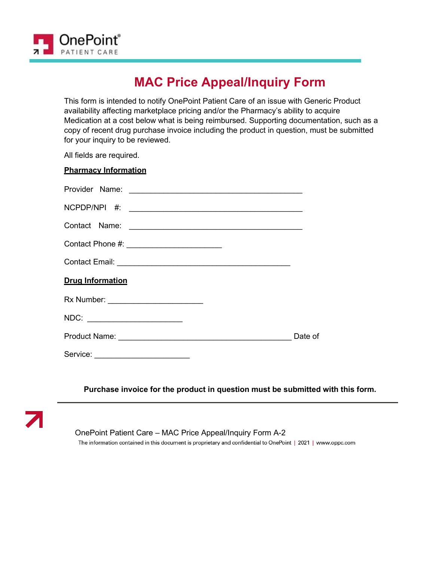

## **MAC Price Appeal/Inquiry Form**

This form is intended to notify OnePoint Patient Care of an issue with Generic Product availability affecting marketplace pricing and/or the Pharmacy's ability to acquire Medication at a cost below what is being reimbursed. Supporting documentation, such as a copy of recent drug purchase invoice including the product in question, must be submitted for your inquiry to be reviewed.

All fields are required.

#### **Pharmacy Information**

| Contact Phone #: __________________________ |         |
|---------------------------------------------|---------|
|                                             |         |
| <b>Drug Information</b>                     |         |
| Rx Number: _________________________        |         |
| NDC: ________________________               |         |
|                                             | Date of |
| Service:                                    |         |

### **Purchase invoice for the product in question must be submitted with this form.**



OnePoint Patient Care – MAC Price Appeal/Inquiry Form A-2

The information contained in this document is proprietary and confidential to OnePoint | 2021 | www.oppc.com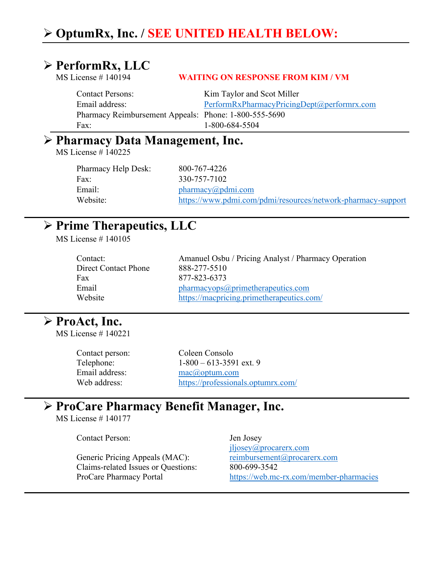## **OptumRx, Inc. / SEE UNITED HEALTH BELOW:**

### **PerformRx, LLC**

### MS License # 140194 **WAITING ON RESPONSE FROM KIM / VM**

Contact Persons: Kim Taylor and Scot Miller Email address: [PerformRxPharmacyPricingDept@performrx.com](mailto:PerformRxPharmacyPricingDept@performrx.com) Pharmacy Reimbursement Appeals: Phone: 1-800-555-5690 Fax: 1-800-684-5504

### **Pharmacy Data Management, Inc.**

MS License # 140225

Pharmacy Help Desk: 800-767-4226 Fax: 330-757-7102 Email: [pharmacy@pdmi.com](mailto:pharmacy@pdmi.com) Website: <https://www.pdmi.com/pdmi/resources/network-pharmacy-support>

### **Prime Therapeutics, LLC**

MS License # 140105

| Contact:             |
|----------------------|
| Direct Contact Phone |
| Fax                  |
| Email                |
| Website              |

Amanuel Osbu / Pricing Analyst / Pharmacy Operation 888-277-5510 Fax 877-823-6373 [pharmacyops@primetherapeutics.com](mailto:pharmacyops@primetherapeutics.com) <https://macpricing.primetherapeutics.com/>

## **ProAct, Inc.**

MS License # 140221

Contact person: Coleen Consolo Telephone: 1-800 – 613-3591 ext. 9 Email address: [mac@optum.com](mailto:mac@optum.com) Web address: <https://professionals.optumrx.com/>

## **ProCare Pharmacy Benefit Manager, Inc.**

MS License # 140177

Contact Person: Jen Josey

Claims-related Issues or Questions: 800-699-3542

[jljosey@procarerx.com](mailto:jljosey@procarerx.com) Generic Pricing Appeals (MAC): [reimbursement@procarerx.com](mailto:reimbursement@procarerx.com) ProCare Pharmacy Portal <https://web.mc-rx.com/member-pharmacies>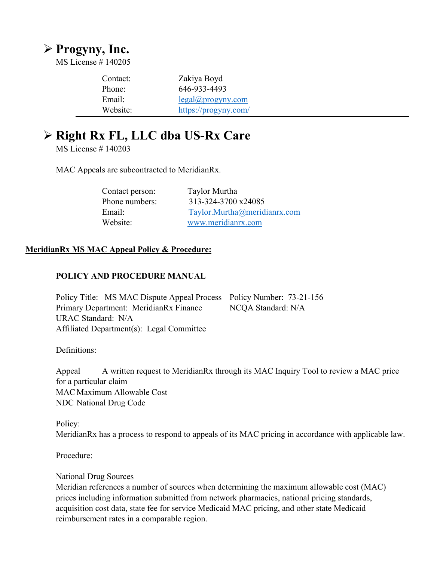## **Progyny, Inc.**

MS License # 140205

| Contact: | Zakiya Boyd                 |
|----------|-----------------------------|
| Phone:   | 646-933-4493                |
| Email:   | $legal(\omega)$ progyny.com |
| Website: | https://progyny.com/        |

## **Right Rx FL, LLC dba US-Rx Care**

MS License # 140203

MAC Appeals are subcontracted to MeridianRx.

| Contact person: | Taylor Murtha                |
|-----------------|------------------------------|
| Phone numbers:  | 313-324-3700 x24085          |
| Email:          | Taylor.Murtha@meridianrx.com |
| Website:        | www.meridianrx.com           |

### **MeridianRx MS MAC Appeal Policy & Procedure:**

### **POLICY AND PROCEDURE MANUAL**

Policy Title: MS MAC Dispute Appeal Process Policy Number: 73-21-156 Primary Department: MeridianRx Finance NCQA Standard: N/A URAC Standard: N/A Affiliated Department(s): Legal Committee

Definitions:

Appeal A written request to MeridianRx through its MAC Inquiry Tool to review a MAC price for a particular claim MAC Maximum Allowable Cost NDC National Drug Code

Policy: MeridianRx has a process to respond to appeals of its MAC pricing in accordance with applicable law.

Procedure:

### National Drug Sources

Meridian references a number of sources when determining the maximum allowable cost (MAC) prices including information submitted from network pharmacies, national pricing standards, acquisition cost data, state fee for service Medicaid MAC pricing, and other state Medicaid reimbursement rates in a comparable region.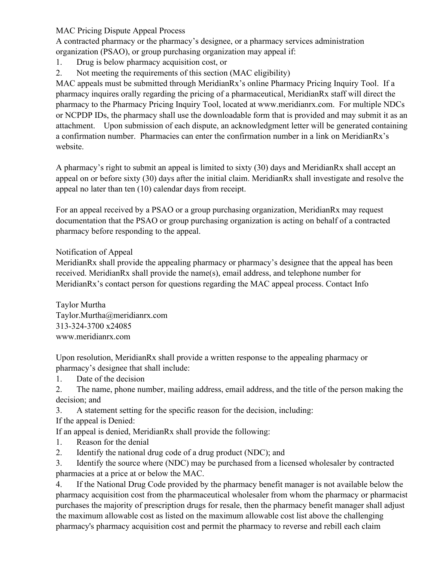MAC Pricing Dispute Appeal Process

A contracted pharmacy or the pharmacy's designee, or a pharmacy services administration organization (PSAO), or group purchasing organization may appeal if:

- 1. Drug is below pharmacy acquisition cost, or
- 2. Not meeting the requirements of this section (MAC eligibility)

MAC appeals must be submitted through MeridianRx's online Pharmacy Pricing Inquiry Tool. If a pharmacy inquires orally regarding the pricing of a pharmaceutical, MeridianRx staff will direct the pharmacy to the Pharmacy Pricing Inquiry Tool, located at www.meridianrx.com. For multiple NDCs or NCPDP IDs, the pharmacy shall use the downloadable form that is provided and may submit it as an attachment. Upon submission of each dispute, an acknowledgment letter will be generated containing a confirmation number. Pharmacies can enter the confirmation number in a link on MeridianRx's website.

A pharmacy's right to submit an appeal is limited to sixty (30) days and MeridianRx shall accept an appeal on or before sixty (30) days after the initial claim. MeridianRx shall investigate and resolve the appeal no later than ten (10) calendar days from receipt.

For an appeal received by a PSAO or a group purchasing organization, MeridianRx may request documentation that the PSAO or group purchasing organization is acting on behalf of a contracted pharmacy before responding to the appeal.

Notification of Appeal

MeridianRx shall provide the appealing pharmacy or pharmacy's designee that the appeal has been received. MeridianRx shall provide the name(s), email address, and telephone number for MeridianRx's contact person for questions regarding the MAC appeal process. Contact Info

Taylor Murtha Taylor.Murtha@meridianrx.com 313-324-3700 x24085 www.meridianrx.com

Upon resolution, MeridianRx shall provide a written response to the appealing pharmacy or pharmacy's designee that shall include:

1. Date of the decision

2. The name, phone number, mailing address, email address, and the title of the person making the decision; and

3. A statement setting for the specific reason for the decision, including:

If the appeal is Denied:

If an appeal is denied, MeridianRx shall provide the following:

- 1. Reason for the denial
- 2. Identify the national drug code of a drug product (NDC); and

3. Identify the source where (NDC) may be purchased from a licensed wholesaler by contracted pharmacies at a price at or below the MAC.

4. If the National Drug Code provided by the pharmacy benefit manager is not available below the pharmacy acquisition cost from the pharmaceutical wholesaler from whom the pharmacy or pharmacist purchases the majority of prescription drugs for resale, then the pharmacy benefit manager shall adjust the maximum allowable cost as listed on the maximum allowable cost list above the challenging pharmacy's pharmacy acquisition cost and permit the pharmacy to reverse and rebill each claim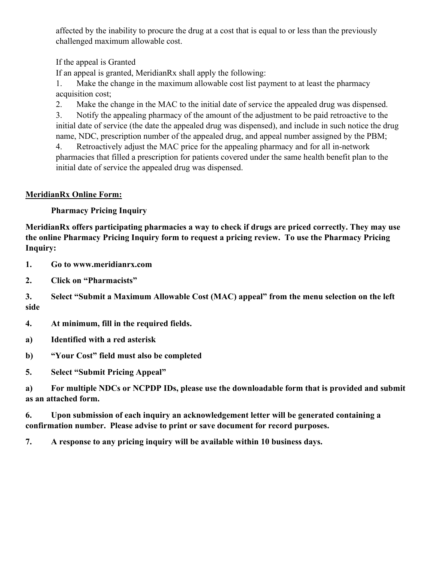affected by the inability to procure the drug at a cost that is equal to or less than the previously challenged maximum allowable cost.

If the appeal is Granted

If an appeal is granted, MeridianRx shall apply the following:

1. Make the change in the maximum allowable cost list payment to at least the pharmacy acquisition cost;

2. Make the change in the MAC to the initial date of service the appealed drug was dispensed.

3. Notify the appealing pharmacy of the amount of the adjustment to be paid retroactive to the initial date of service (the date the appealed drug was dispensed), and include in such notice the drug name, NDC, prescription number of the appealed drug, and appeal number assigned by the PBM;

4. Retroactively adjust the MAC price for the appealing pharmacy and for all in-network pharmacies that filled a prescription for patients covered under the same health benefit plan to the initial date of service the appealed drug was dispensed.

### **MeridianRx Online Form:**

**Pharmacy Pricing Inquiry**

**MeridianRx offers participating pharmacies a way to check if drugs are priced correctly. They may use the online Pharmacy Pricing Inquiry form to request a pricing review. To use the Pharmacy Pricing Inquiry:**

**1. Go to www.meridianrx.com**

**2. Click on "Pharmacists"** 

**3. Select "Submit a Maximum Allowable Cost (MAC) appeal" from the menu selection on the left side**

**4. At minimum, fill in the required fields.**

**a) Identified with a red asterisk**

**b) "Your Cost" field must also be completed**

**5. Select "Submit Pricing Appeal"**

**a) For multiple NDCs or NCPDP IDs, please use the downloadable form that is provided and submit as an attached form.** 

**6. Upon submission of each inquiry an acknowledgement letter will be generated containing a confirmation number. Please advise to print or save document for record purposes.**

**7. A response to any pricing inquiry will be available within 10 business days.**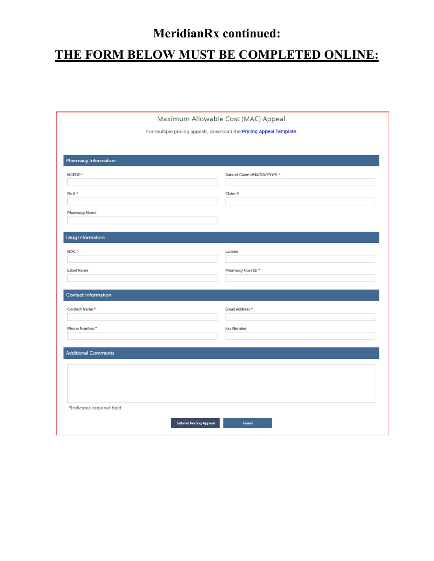# **MeridianRx continued: THE FORM BELOW MUST BE COMPLETED ONLINE:**

|                             | Maximum Allowable Cost (MAC) Appeal                                |
|-----------------------------|--------------------------------------------------------------------|
|                             | For multiple pricing appeals, download the Pricing Appeal Template |
|                             |                                                                    |
|                             |                                                                    |
| <b>Pharmacy Information</b> |                                                                    |
| NCPDP *                     | Date of Claim (MM/DD/YYYY) *                                       |
|                             |                                                                    |
| $Rx#$ *                     | Claim #                                                            |
| <b>Pharmacy Name</b>        |                                                                    |
|                             |                                                                    |
|                             |                                                                    |
| Drug Information            |                                                                    |
| NDC*                        | Labeler                                                            |
|                             |                                                                    |
| Label Name                  | Pharmacy Cost (\$) *                                               |
|                             |                                                                    |
| <b>Contact Information</b>  |                                                                    |
| Contact Name*               | Email Address *                                                    |
|                             |                                                                    |
| Phone Number *              | <b>Fax Number</b>                                                  |
|                             |                                                                    |
| <b>Additional Comments</b>  |                                                                    |
|                             |                                                                    |
|                             |                                                                    |
|                             |                                                                    |
|                             |                                                                    |
| *Indicates required field   |                                                                    |
|                             |                                                                    |
|                             | <b>Submit Pricing Appeal</b><br>Reset                              |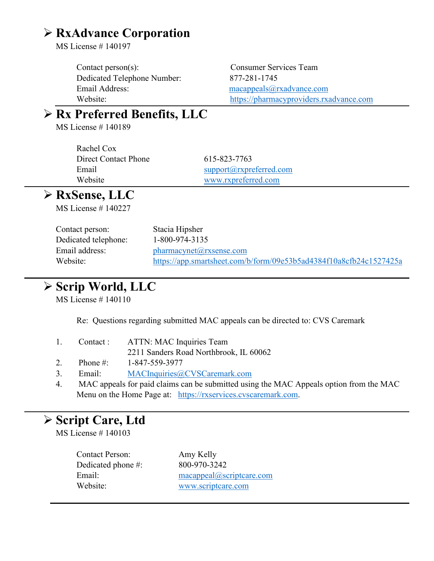## **RxAdvance Corporation**

MS License # 140197

Contact person(s): Consumer Services Team Dedicated Telephone Number: 877-281-1745 Email Address: [macappeals@rxadvance.com](mailto:macappeals@rxadvance.com)

Website: [https://pharmacyproviders.rxadvance.com](https://pharmacyproviders.rxadvance.com/)

## **Rx Preferred Benefits, LLC**

MS License # 140189

Rachel Cox Direct Contact Phone 615-823-7763

Email [support@rxpreferred.com](mailto:support@rxpreferred.com) Website [www.rxpreferred.com](http://www.rxpreferred.com/)

## **RxSense, LLC**

MS License # 140227

| Contact person:      | Stacia Hipsher                                                     |
|----------------------|--------------------------------------------------------------------|
| Dedicated telephone: | $1 - 800 - 974 - 3135$                                             |
| Email address:       | $pharmacynet(a)$ rxsense.com                                       |
| Website:             | https://app.smartsheet.com/b/form/09e53b5ad4384f10a8cfb24c1527425a |

## **Scrip World, LLC**

MS License # 140110

Re: Questions regarding submitted MAC appeals can be directed to: CVS Caremark

|  | 1. Contact: ATTN: MAC Inquiries Team   |
|--|----------------------------------------|
|  | 2211 Sanders Road Northbrook, IL 60062 |

- 2. Phone #: 1-847-559-3977
- 3. Email: [MACInquiries@CVSCaremark.com](mailto:MACInquiries@CVSCaremark.com)
- 4. MAC appeals for paid claims can be submitted using the MAC Appeals option from the MAC Menu on the Home Page at: [https://rxservices.cvscaremark.com.](https://rxservices.cvscaremark.com/)

### **Script Care, Ltd**

MS License # 140103

Contact Person: Amy Kelly Dedicated phone #: 800-970-3242

Email: [macappeal@scriptcare.com](mailto:macappeal@scriptcare.com) Website: [www.scriptcare.com](http://www.scriptcare.com/)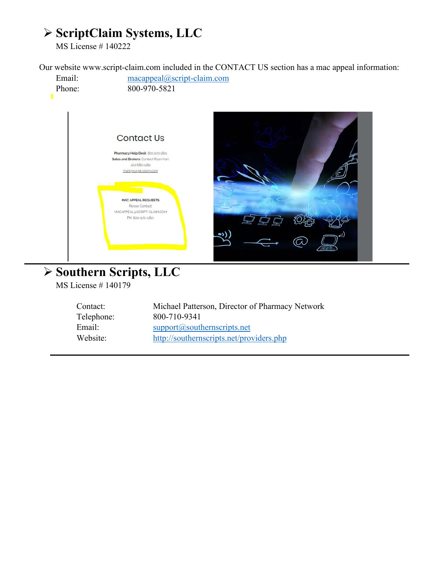## **ScriptClaim Systems, LLC**

MS License # 140222

Our website www.script-claim.com included in the CONTACT US section has a mac appeal information:



MS License # 140179

Contact: Michael Patterson, Director of Pharmacy Network Telephone: 800-710-9341 Email: [support@southernscripts.net](mailto:support@southernscripts.net) Website: <http://southernscripts.net/providers.php>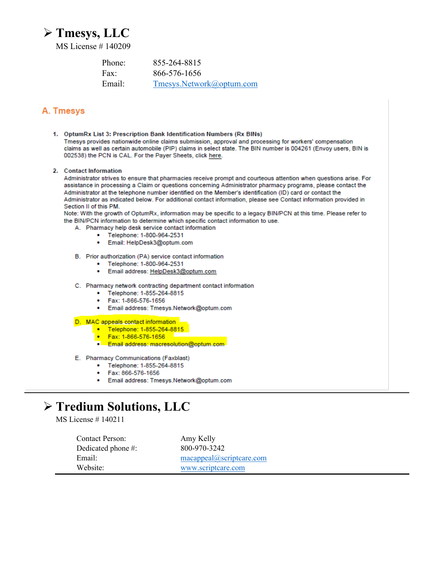## **Tmesys, LLC**

MS License # 140209

| Phone: | 855-264-8815             |
|--------|--------------------------|
| Fax:   | 866-576-1656             |
| Email: | Tmesys.Network@optum.com |

### A. Tmesys

- 1. OptumRx List 3: Prescription Bank Identification Numbers (Rx BINs) Tmesys provides nationwide online claims submission, approval and processing for workers' compensation claims as well as certain automobile (PIP) claims in select state. The BIN number is 004261 (Envoy users, BIN is 002538) the PCN is CAL. For the Payer Sheets, click here.
- 2. Contact Information

Administrator strives to ensure that pharmacies receive prompt and courteous attention when questions arise. For assistance in processing a Claim or questions concerning Administrator pharmacy programs, please contact the Administrator at the telephone number identified on the Member's identification (ID) card or contact the Administrator as indicated below. For additional contact information, please see Contact information provided in Section II of this PM.

Note: With the growth of OptumRx, information may be specific to a legacy BIN/PCN at this time. Please refer to the BIN/PCN information to determine which specific contact information to use.

- A. Pharmacy help desk service contact information
	- Telephone: 1-800-964-2531 ٠
	- Email: HelpDesk3@optum.com ٠
- B. Prior authorization (PA) service contact information
	- Telephone: 1-800-964-2531
	- Email address: HelpDesk3@optum.com ٠
- C. Pharmacy network contracting department contact information
	- Telephone: 1-855-264-8815 ۰
	- Fax: 1-866-576-1656
	- Email address: Tmesys.Network@optum.com  $\bullet$

#### D. MAC appeals contact information

- Telephone: 1-855-264-8815<br>• Fax: 1-866-576-1656
- 
- Email address: macresolution@optum.com
- E. Pharmacy Communications (Faxblast)
	- Telephone: 1-855-264-8815 ٠
	- Fax: 866-576-1656
	- Email address: Tmesys.Network@optum.com ٠

## **Tredium Solutions, LLC**

MS License # 140211

Contact Person: Amy Kelly Dedicated phone #: 800-970-3242 Email: [macappeal@scriptcare.com](mailto:macappeal@scriptcare.com) Website: [www.scriptcare.com](http://www.scriptcare.com/)